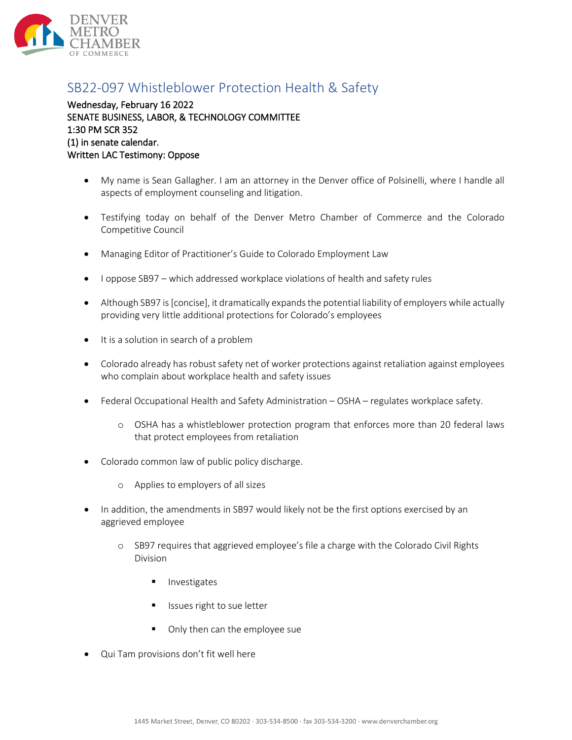

## SB22-097 Whistleblower Protection Health & Safety

Wednesday, February 16 2022 SENATE BUSINESS, LABOR, & TECHNOLOGY COMMITTEE 1:30 PM SCR 352 (1) in senate calendar. Written LAC Testimony: Oppose

- My name is Sean Gallagher. I am an attorney in the Denver office of Polsinelli, where I handle all aspects of employment counseling and litigation.
- Testifying today on behalf of the Denver Metro Chamber of Commerce and the Colorado Competitive Council
- Managing Editor of Practitioner's Guide to Colorado Employment Law
- I oppose SB97 which addressed workplace violations of health and safety rules
- Although SB97 is [concise], it dramatically expands the potential liability of employers while actually providing very little additional protections for Colorado's employees
- It is a solution in search of a problem
- Colorado already has robust safety net of worker protections against retaliation against employees who complain about workplace health and safety issues
- Federal Occupational Health and Safety Administration OSHA regulates workplace safety.
	- o OSHA has a whistleblower protection program that enforces more than 20 federal laws that protect employees from retaliation
- Colorado common law of public policy discharge.
	- o Applies to employers of all sizes
- In addition, the amendments in SB97 would likely not be the first options exercised by an aggrieved employee
	- o SB97 requires that aggrieved employee's file a charge with the Colorado Civil Rights Division
		- Investigates
		- Issues right to sue letter
		- Only then can the employee sue
- Qui Tam provisions don't fit well here